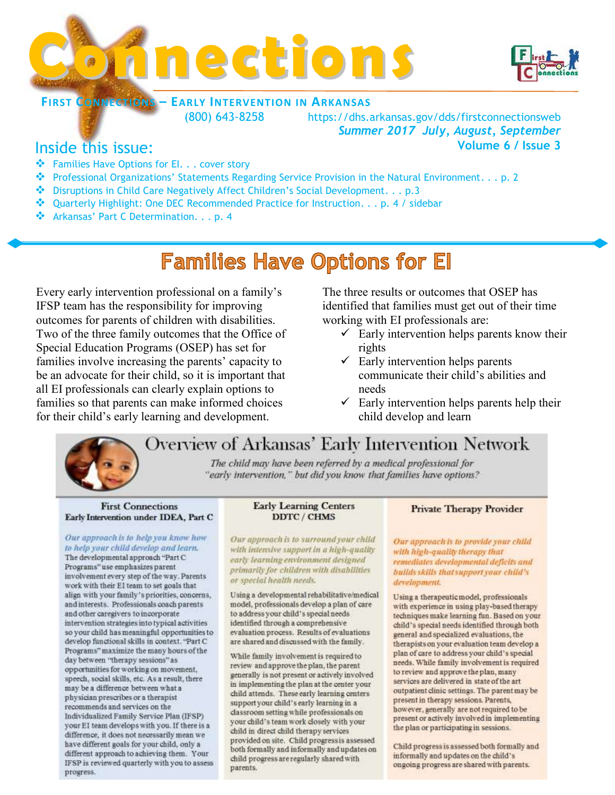



### **FIRST CONNECTIONS – EARLY INTERVENTION IN ARKANSAS**

(800) 643-8258 https://dhs.arkansas.gov/dds/firstconnectionsweb *Summer 2017 July, August, September*  **Volume 6 / Issue 3**

## Inside this issue:

- \* Families Have Options for El. . . cover story
- Professional Organizations' Statements Regarding Service Provision in the Natural Environment. . . p. 2
- Disruptions in Child Care Negatively Affect Children's Social Development. . . p.3
- ◆ Quarterly Highlight: One DEC Recommended Practice for Instruction. . . p. 4 / sidebar
- \* Arkansas' Part C Determination. . . p. 4

# **Families Have Options for El**

Every early intervention professional on a family's IFSP team has the responsibility for improving outcomes for parents of children with disabilities. Two of the three family outcomes that the Office of Special Education Programs (OSEP) has set for families involve increasing the parents' capacity to be an advocate for their child, so it is important that all EI professionals can clearly explain options to families so that parents can make informed choices for their child's early learning and development.

The three results or outcomes that OSEP has identified that families must get out of their time working with EI professionals are:

- $\checkmark$  Early intervention helps parents know their rights
- $\checkmark$  Early intervention helps parents communicate their child's abilities and needs
- $\checkmark$  Early intervention helps parents help their child develop and learn

# Overview of Arkansas' Early Intervention Network

The child may have been referred by a medical professional for "early intervention," but did you know that families have options?

#### **First Connections** Early Intervention under IDEA, Part C

#### Our approach is to help you know how to help your child develop and learn. The developmental approach "Part C

Programs" use emphasizes parent involvement every step of the way. Parents work with their El team to set goals that align with your family's priorities, concerns, and interests. Professionals coach parents and other caregivers to incorporate intervention strategies into typical activities so your child has meaningful opportunities to develop functional skills in context. "Part C Programs" maximize the many hours of the day between "therapy sessions" as opportunities for working on movement, speech, social skills, etc. As a result, there may be a difference between what a physician prescribes or a therapist recommends and services on the Individualized Family Service Plan (IFSP) your EI team develops with you. If there is a difference, it does not necessarily mean we have different goals for your child, only a different approach to achieving them. Your IFSP is reviewed quarterly with you to assess progress.

#### **Early Learning Centers** DDTC / CHMS

Our approach is to surround your child with intensive support in a high-quality early learning environment designed primarily for children with disabilities. or special health needs.

Using a developmental rehabilitative/medical model, professionals develop a plan of care to address your child's special needs identified through a comprehensive evaluation process. Results of evaluations are shared and discussed with the family.

While family involvement is required to review and approve the plan, the parent generally is not present or actively involved in implementing the plan at the center your child attends. These early learning centers support your child's early learning in a classroom setting while professionals on your child's team work closely with your child in direct child therapy services provided on site. Child progressis assessed both formally and informally and updates on child progress are regularly shared with parents.

### **Private Therapy Provider**

Our approach is to provide your child with high-quality therapy that remediates developmental deficits and builds skills that support your child's development.

Using a therapeutic model, professionals with experience in using play-based therapy techniques make learning fun. Based on your child's special needs identified through both general and specialized evaluations, the therapists on your evaluation team develop a plan of care to address your child's special needs. While family involvement is required to review and approve the plan, many services are delivered in state of the art outpatient clinic settings. The parent may be present in therapy sessions. Parents, however, generally are not required to be present or actively involved in implementing the plan or participating in sessions.

Child progress is assessed both formally and informally and updates on the child's ongoing progress are shared with parents.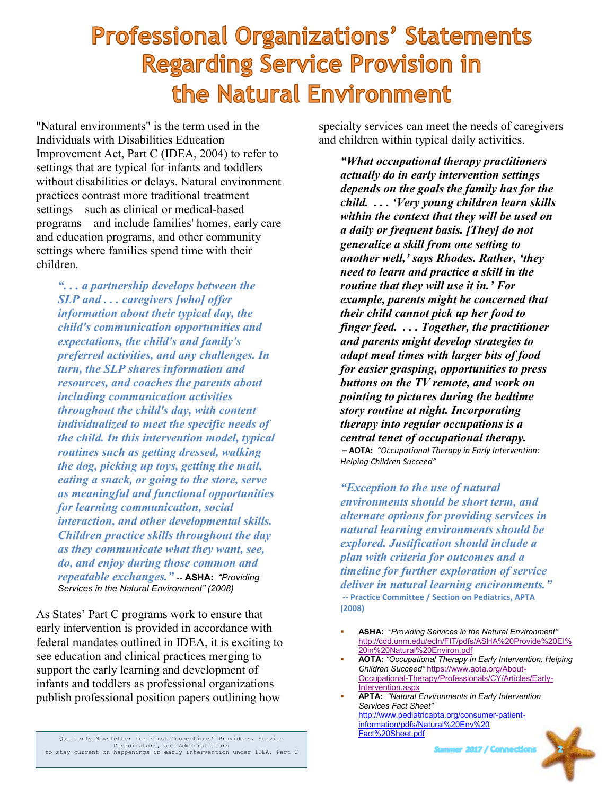# **Professional Organizations' Statements Regarding Service Provision in** the Natural Environment

"Natural environments" is the term used in the Individuals with Disabilities Education Improvement Act, Part C (IDEA, 2004) to refer to settings that are typical for infants and toddlers without disabilities or delays. Natural environment practices contrast more traditional treatment settings—such as clinical or medical-based programs—and include families' homes, early care and education programs, and other community settings where families spend time with their children.

*". . . a partnership develops between the SLP and . . . caregivers [who] offer information about their typical day, the child's communication opportunities and expectations, the child's and family's preferred activities, and any challenges. In turn, the SLP shares information and resources, and coaches the parents about including communication activities throughout the child's day, with content individualized to meet the specific needs of the child. In this intervention model, typical routines such as getting dressed, walking the dog, picking up toys, getting the mail, eating a snack, or going to the store, serve as meaningful and functional opportunities for learning communication, social interaction, and other developmental skills. Children practice skills throughout the day as they communicate what they want, see, do, and enjoy during those common and repeatable exchanges."* -- **ASHA:** *"Providing Services in the Natural Environment" (2008)*

As States' Part C programs work to ensure that early intervention is provided in accordance with federal mandates outlined in IDEA, it is exciting to see education and clinical practices merging to support the early learning and development of infants and toddlers as professional organizations publish professional position papers outlining how

specialty services can meet the needs of caregivers and children within typical daily activities.

*"What occupational therapy practitioners actually do in early intervention settings depends on the goals the family has for the child. . . . 'Very young children learn skills within the context that they will be used on a daily or frequent basis. [They] do not generalize a skill from one setting to another well,' says Rhodes. Rather, 'they need to learn and practice a skill in the routine that they will use it in.' For example, parents might be concerned that their child cannot pick up her food to finger feed. . . . Together, the practitioner and parents might develop strategies to adapt meal times with larger bits of food for easier grasping, opportunities to press buttons on the TV remote, and work on pointing to pictures during the bedtime story routine at night. Incorporating therapy into regular occupations is a central tenet of occupational therapy.* **– AOTA:** *"Occupational Therapy in Early Intervention: Helping Children Succeed"*

*"Exception to the use of natural environments should be short term, and alternate options for providing services in natural learning environments should be explored. Justification should include a plan with criteria for outcomes and a timeline for further exploration of service deliver in natural learning encironments."* **-- Practice Committee / Section on Pediatrics, APTA (2008)**

- **ASHA:** *"Providing Services in the Natural Environment"* [http://cdd.unm.edu/ecln/FIT/pdfs/ASHA%20Provide%20EI%](http://cdd.unm.edu/ecln/FIT/pdfs/ASHA%20Provide%20EI%20in%20Natural%20Environ.pdf) [20in%20Natural%20Environ.pdf](http://cdd.unm.edu/ecln/FIT/pdfs/ASHA%20Provide%20EI%20in%20Natural%20Environ.pdf)
- **AOTA:** *"Occupational Therapy in Early Intervention: Helping Children Succeed"* [https://www.aota.org/About-](https://www.aota.org/About-Occupational-Therapy/Professionals/CY/Articles/Early-Intervention.aspx)[Occupational-Therapy/Professionals/CY/Articles/Early-](https://www.aota.org/About-Occupational-Therapy/Professionals/CY/Articles/Early-Intervention.aspx)[Intervention.aspx](https://www.aota.org/About-Occupational-Therapy/Professionals/CY/Articles/Early-Intervention.aspx)
- **APTA:** *"Natural Environments in Early Intervention Services Fact Sheet"* [http://www.pediatricapta.org/consumer-patient](http://www.pediatricapta.org/consumer-patient-information/pdfs/Natural%20Env%20%0bFact%20Sheet.pdf)[information/pdfs/Natural%20Env%20](http://www.pediatricapta.org/consumer-patient-information/pdfs/Natural%20Env%20%0bFact%20Sheet.pdf) [Fact%20Sheet.pdf](http://www.pediatricapta.org/consumer-patient-information/pdfs/Natural%20Env%20%0bFact%20Sheet.pdf)

Summer 2017 / Connections

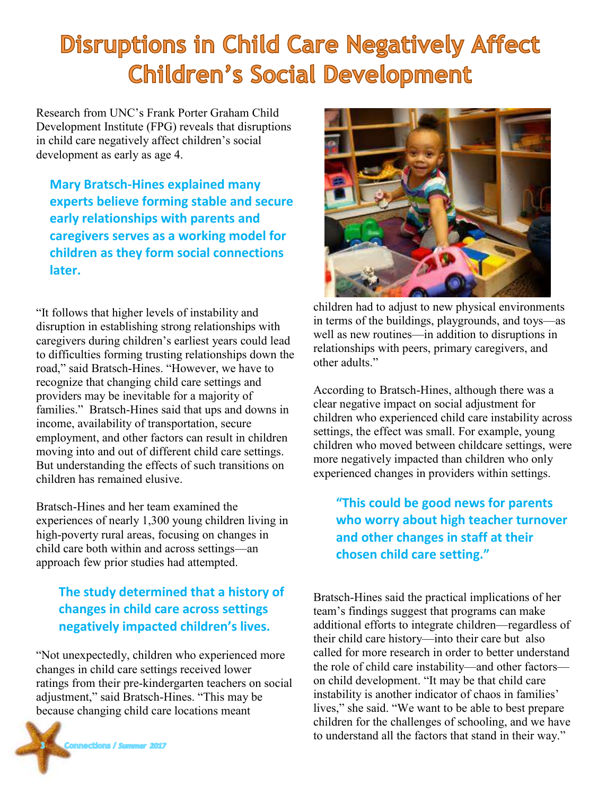# **Disruptions in Child Care Negatively Affect Children's Social Development**

Research from UNC's Frank Porter Graham Child Development Institute (FPG) reveals that disruptions in child care negatively affect children's social development as early as age 4.

**Mary Bratsch-Hines explained many experts believe forming stable and secure early relationships with parents and caregivers serves as a working model for children as they form social connections later.**

"It follows that higher levels of instability and disruption in establishing strong relationships with caregivers during children's earliest years could lead to difficulties forming trusting relationships down the road," said Bratsch-Hines. "However, we have to recognize that changing child care settings and providers may be inevitable for a majority of families." Bratsch-Hines said that ups and downs in income, availability of transportation, secure employment, and other factors can result in children moving into and out of different child care settings. But understanding the effects of such transitions on children has remained elusive.

Bratsch-Hines and her team examined the experiences of nearly 1,300 young children living in high-poverty rural areas, focusing on changes in child care both within and across settings—an approach few prior studies had attempted.

### **The study determined that a history of changes in child care across settings negatively impacted children's lives.**

"Not unexpectedly, children who experienced more changes in child care settings received lower ratings from their pre-kindergarten teachers on social adjustment," said Bratsch-Hines. "This may be because changing child care locations meant





children had to adjust to new physical environments in terms of the buildings, playgrounds, and toys—as well as new routines—in addition to disruptions in relationships with peers, primary caregivers, and other adults."

According to Bratsch-Hines, although there was a clear negative impact on social adjustment for children who experienced child care instability across settings, the effect was small. For example, young children who moved between childcare settings, were more negatively impacted than children who only experienced changes in providers within settings.

### **"This could be good news for parents who worry about high teacher turnover and other changes in staff at their chosen child care setting."**

Bratsch-Hines said the practical implications of her team's findings suggest that programs can make additional efforts to integrate children—regardless of their child care history—into their care but also called for more research in order to better understand the role of child care instability—and other factors on child development. "It may be that child care instability is another indicator of chaos in families' lives," she said. "We want to be able to best prepare children for the challenges of schooling, and we have to understand all the factors that stand in their way."